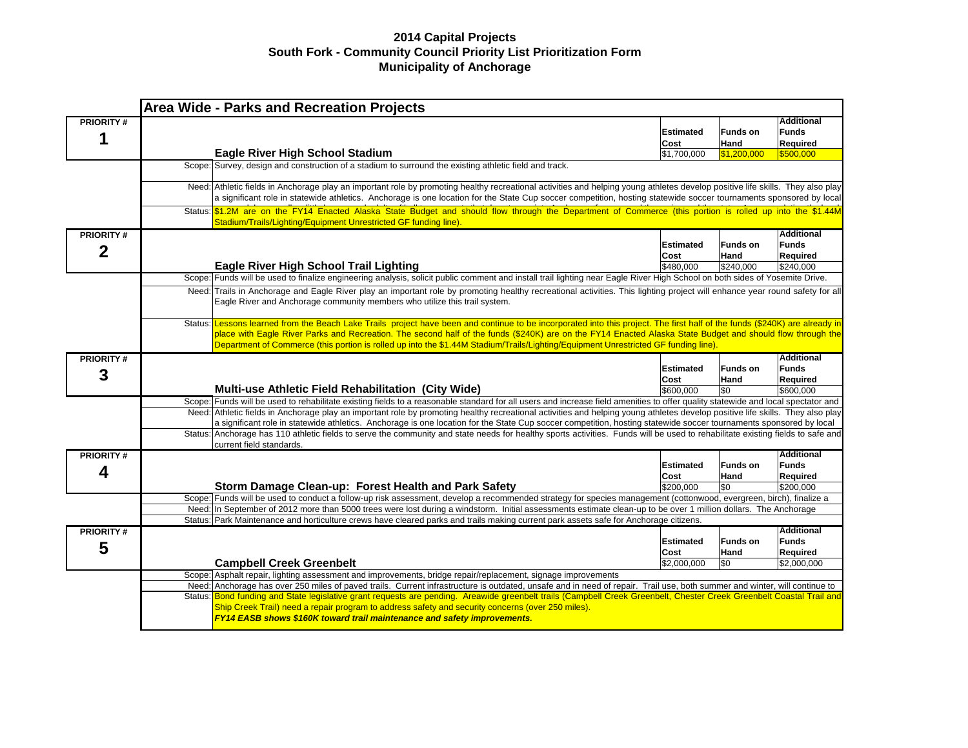|                                    |         | <b>Area Wide - Parks and Recreation Projects</b>                                                                                                                                                                                                                                                                                                                                                                                                                         |                          |                         |                                               |
|------------------------------------|---------|--------------------------------------------------------------------------------------------------------------------------------------------------------------------------------------------------------------------------------------------------------------------------------------------------------------------------------------------------------------------------------------------------------------------------------------------------------------------------|--------------------------|-------------------------|-----------------------------------------------|
| <b>PRIORITY#</b><br>1              |         |                                                                                                                                                                                                                                                                                                                                                                                                                                                                          | <b>Estimated</b><br>Cost | <b>Funds on</b><br>Hand | <b>Additional</b><br><b>Funds</b><br>Required |
|                                    |         | <b>Eagle River High School Stadium</b>                                                                                                                                                                                                                                                                                                                                                                                                                                   | \$1,700,000              | \$1,200,000             | \$500,000                                     |
|                                    |         | Scope: Survey, design and construction of a stadium to surround the existing athletic field and track.                                                                                                                                                                                                                                                                                                                                                                   |                          |                         |                                               |
|                                    |         | Need: Athletic fields in Anchorage play an important role by promoting healthy recreational activities and helping young athletes develop positive life skills. They also play<br>a significant role in statewide athletics. Anchorage is one location for the State Cup soccer competition, hosting statewide soccer tournaments sponsored by local                                                                                                                     |                          |                         |                                               |
|                                    |         | Status: \$1.2M are on the FY14 Enacted Alaska State Budget and should flow through the Department of Commerce (this portion is rolled up into the \$1.44M<br>Stadium/Trails/Lighting/Equipment Unrestricted GF funding line).                                                                                                                                                                                                                                            |                          |                         |                                               |
| <b>PRIORITY#</b><br>$\overline{2}$ |         |                                                                                                                                                                                                                                                                                                                                                                                                                                                                          | <b>Estimated</b><br>Cost | <b>Funds on</b><br>Hand | <b>Additional</b><br><b>Funds</b><br>Required |
|                                    |         | <b>Eagle River High School Trail Lighting</b>                                                                                                                                                                                                                                                                                                                                                                                                                            | \$480,000                | \$240,000               | \$240,000                                     |
|                                    |         | Scope: Funds will be used to finalize engineering analysis, solicit public comment and install trail lighting near Eagle River High School on both sides of Yosemite Drive.                                                                                                                                                                                                                                                                                              |                          |                         |                                               |
|                                    |         | Need: Trails in Anchorage and Eagle River play an important role by promoting healthy recreational activities. This lighting project will enhance year round safety for all<br>Eagle River and Anchorage community members who utilize this trail system.                                                                                                                                                                                                                |                          |                         |                                               |
|                                    | Status: | Lessons learned from the Beach Lake Trails project have been and continue to be incorporated into this project. The first half of the funds (\$240K) are already in<br>place with Eagle River Parks and Recreation. The second half of the funds (\$240K) are on the FY14 Enacted Alaska State Budget and should flow through the<br>Department of Commerce (this portion is rolled up into the \$1.44M Stadium/Trails/Lighting/Equipment Unrestricted GF funding line). |                          |                         |                                               |
| <b>PRIORITY#</b>                   |         |                                                                                                                                                                                                                                                                                                                                                                                                                                                                          |                          |                         | <b>Additional</b>                             |
| 3                                  |         |                                                                                                                                                                                                                                                                                                                                                                                                                                                                          | <b>Estimated</b><br>Cost | <b>Funds on</b><br>Hand | <b>Funds</b><br>Required                      |
|                                    |         | <b>Multi-use Athletic Field Rehabilitation (City Wide)</b>                                                                                                                                                                                                                                                                                                                                                                                                               | \$600.000                | \$0                     | \$600,000                                     |
|                                    |         | Scope: Funds will be used to rehabilitate existing fields to a reasonable standard for all users and increase field amenities to offer quality statewide and local spectator and                                                                                                                                                                                                                                                                                         |                          |                         |                                               |
|                                    |         | Need: Athletic fields in Anchorage play an important role by promoting healthy recreational activities and helping young athletes develop positive life skills. They also play                                                                                                                                                                                                                                                                                           |                          |                         |                                               |
|                                    |         | a significant role in statewide athletics. Anchorage is one location for the State Cup soccer competition, hosting statewide soccer tournaments sponsored by local<br>Status: Anchorage has 110 athletic fields to serve the community and state needs for healthy sports activities. Funds will be used to rehabilitate existing fields to safe and                                                                                                                     |                          |                         |                                               |
| <b>PRIORITY#</b>                   |         | current field standards.                                                                                                                                                                                                                                                                                                                                                                                                                                                 |                          |                         | <b>Additional</b>                             |
| 4                                  |         |                                                                                                                                                                                                                                                                                                                                                                                                                                                                          | <b>Estimated</b><br>Cost | <b>Funds on</b><br>Hand | <b>Funds</b><br>Required                      |
|                                    |         | Storm Damage Clean-up: Forest Health and Park Safety                                                                                                                                                                                                                                                                                                                                                                                                                     | \$200.000                | \$0                     | \$200.000                                     |
|                                    |         | Scope: Funds will be used to conduct a follow-up risk assessment, develop a recommended strategy for species management (cottonwood, evergreen, birch), finalize a                                                                                                                                                                                                                                                                                                       |                          |                         |                                               |
|                                    |         | Need: In September of 2012 more than 5000 trees were lost during a windstorm. Initial assessments estimate clean-up to be over 1 million dollars. The Anchorage                                                                                                                                                                                                                                                                                                          |                          |                         |                                               |
|                                    |         | Status: Park Maintenance and horticulture crews have cleared parks and trails making current park assets safe for Anchorage citizens.                                                                                                                                                                                                                                                                                                                                    |                          |                         |                                               |
| <b>PRIORITY#</b>                   |         |                                                                                                                                                                                                                                                                                                                                                                                                                                                                          |                          |                         | <b>Additional</b>                             |
|                                    |         |                                                                                                                                                                                                                                                                                                                                                                                                                                                                          | <b>Estimated</b>         | <b>Funds on</b>         | <b>Funds</b>                                  |
| 5                                  |         |                                                                                                                                                                                                                                                                                                                                                                                                                                                                          | Cost                     | Hand                    | Required                                      |
|                                    |         | <b>Campbell Creek Greenbelt</b>                                                                                                                                                                                                                                                                                                                                                                                                                                          | \$2,000,000              | \$0                     | \$2,000,000                                   |
|                                    |         | Scope: Asphalt repair, lighting assessment and improvements, bridge repair/replacement, signage improvements                                                                                                                                                                                                                                                                                                                                                             |                          |                         |                                               |
|                                    |         | Need: Anchorage has over 250 miles of paved trails. Current infrastructure is outdated, unsafe and in need of repair. Trail use, both summer and winter, will continue to                                                                                                                                                                                                                                                                                                |                          |                         |                                               |
|                                    |         | Status: Bond funding and State legislative grant requests are pending. Areawide greenbelt trails (Campbell Creek Greenbelt, Chester Creek Greenbelt Coastal Trail and<br>Ship Creek Trail) need a repair program to address safety and security concerns (over 250 miles).<br>FY14 EASB shows \$160K toward trail maintenance and safety improvements.                                                                                                                   |                          |                         |                                               |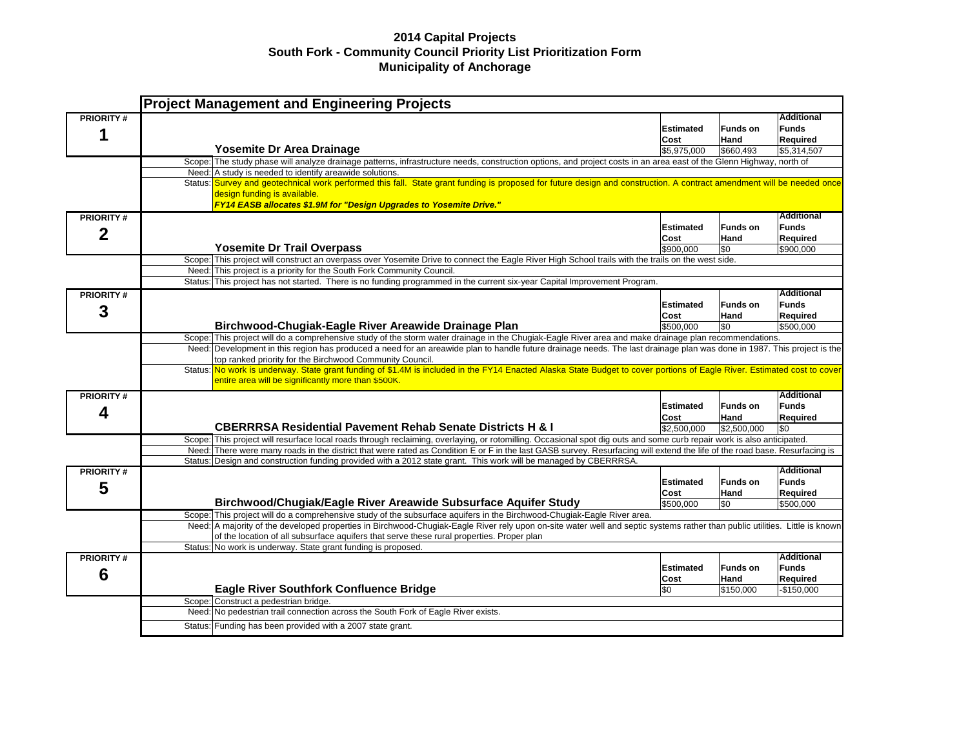|                  | <b>Project Management and Engineering Projects</b>                                                                                                                                                                                                                            |                                                                                                                                                                         |                  |                                               |  |  |  |
|------------------|-------------------------------------------------------------------------------------------------------------------------------------------------------------------------------------------------------------------------------------------------------------------------------|-------------------------------------------------------------------------------------------------------------------------------------------------------------------------|------------------|-----------------------------------------------|--|--|--|
| <b>PRIORITY#</b> |                                                                                                                                                                                                                                                                               | <b>Estimated</b><br>Cost                                                                                                                                                | Funds on<br>Hand | <b>Additional</b><br><b>Funds</b><br>Required |  |  |  |
|                  | Yosemite Dr Area Drainage                                                                                                                                                                                                                                                     | \$5,975,000                                                                                                                                                             | \$660.493        | \$5,314,507                                   |  |  |  |
|                  | Scope: The study phase will analyze drainage patterns, infrastructure needs, construction options, and project costs in an area east of the Glenn Highway, north of                                                                                                           |                                                                                                                                                                         |                  |                                               |  |  |  |
|                  | Need: A study is needed to identify areawide solutions.                                                                                                                                                                                                                       |                                                                                                                                                                         |                  |                                               |  |  |  |
|                  | Status: Survey and geotechnical work performed this fall. State grant funding is proposed for future design and construction. A contract amendment will be needed once<br>design funding is available.<br>FY14 EASB allocates \$1.9M for "Design Upgrades to Yosemite Drive." |                                                                                                                                                                         |                  |                                               |  |  |  |
| <b>PRIORITY#</b> |                                                                                                                                                                                                                                                                               |                                                                                                                                                                         |                  | <b>Additional</b>                             |  |  |  |
| 2                |                                                                                                                                                                                                                                                                               | <b>Estimated</b>                                                                                                                                                        | Funds on         | <b>Funds</b>                                  |  |  |  |
|                  |                                                                                                                                                                                                                                                                               | Cost                                                                                                                                                                    | Hand             | Required                                      |  |  |  |
|                  | <b>Yosemite Dr Trail Overpass</b>                                                                                                                                                                                                                                             | \$900,000                                                                                                                                                               | \$0              | \$900,000                                     |  |  |  |
|                  | Scope: This project will construct an overpass over Yosemite Drive to connect the Eagle River High School trails with the trails on the west side.                                                                                                                            |                                                                                                                                                                         |                  |                                               |  |  |  |
|                  | Need: This project is a priority for the South Fork Community Council.                                                                                                                                                                                                        |                                                                                                                                                                         |                  |                                               |  |  |  |
|                  | Status: This project has not started. There is no funding programmed in the current six-year Capital Improvement Program.                                                                                                                                                     |                                                                                                                                                                         |                  |                                               |  |  |  |
| <b>PRIORITY#</b> |                                                                                                                                                                                                                                                                               |                                                                                                                                                                         |                  | <b>Additional</b>                             |  |  |  |
| 3                |                                                                                                                                                                                                                                                                               | <b>Estimated</b>                                                                                                                                                        | <b>Funds on</b>  | <b>Funds</b>                                  |  |  |  |
|                  |                                                                                                                                                                                                                                                                               | Cost                                                                                                                                                                    | <b>Hand</b>      | Required                                      |  |  |  |
|                  | Birchwood-Chugiak-Eagle River Areawide Drainage Plan                                                                                                                                                                                                                          | \$500.000                                                                                                                                                               | \$0              | \$500,000                                     |  |  |  |
|                  | Scope: This project will do a comprehensive study of the storm water drainage in the Chugiak-Eagle River area and make drainage plan recommendations.                                                                                                                         |                                                                                                                                                                         |                  |                                               |  |  |  |
|                  |                                                                                                                                                                                                                                                                               | Need: Development in this region has produced a need for an areawide plan to handle future drainage needs. The last drainage plan was done in 1987. This project is the |                  |                                               |  |  |  |
|                  | top ranked priority for the Birchwood Community Council.                                                                                                                                                                                                                      |                                                                                                                                                                         |                  |                                               |  |  |  |
|                  | Status: No work is underway. State grant funding of \$1.4M is included in the FY14 Enacted Alaska State Budget to cover portions of Eagle River. Estimated cost to cover<br>entire area will be significantly more than \$500K.                                               |                                                                                                                                                                         |                  |                                               |  |  |  |
| <b>PRIORITY#</b> |                                                                                                                                                                                                                                                                               |                                                                                                                                                                         |                  | <b>Additional</b>                             |  |  |  |
| 4                |                                                                                                                                                                                                                                                                               | <b>Estimated</b>                                                                                                                                                        | <b>Funds on</b>  | <b>Funds</b>                                  |  |  |  |
|                  |                                                                                                                                                                                                                                                                               | Cost                                                                                                                                                                    | Hand             | <b>Required</b>                               |  |  |  |
|                  | <b>CBERRRSA Residential Pavement Rehab Senate Districts H &amp; I</b>                                                                                                                                                                                                         | \$2,500,000                                                                                                                                                             | \$2,500,000      | \$0                                           |  |  |  |
|                  | Scope: This project will resurface local roads through reclaiming, overlaying, or rotomilling. Occasional spot dig outs and some curb repair work is also anticipated.                                                                                                        |                                                                                                                                                                         |                  |                                               |  |  |  |
|                  | Need: There were many roads in the district that were rated as Condition E or F in the last GASB survey. Resurfacing will extend the life of the road base. Resurfacing is                                                                                                    |                                                                                                                                                                         |                  |                                               |  |  |  |
|                  | Status: Design and construction funding provided with a 2012 state grant. This work will be managed by CBERRRSA.                                                                                                                                                              |                                                                                                                                                                         |                  |                                               |  |  |  |
| <b>PRIORITY#</b> |                                                                                                                                                                                                                                                                               |                                                                                                                                                                         |                  | <b>Additional</b>                             |  |  |  |
| 5                |                                                                                                                                                                                                                                                                               | <b>Estimated</b>                                                                                                                                                        | <b>Funds on</b>  | <b>Funds</b>                                  |  |  |  |
|                  |                                                                                                                                                                                                                                                                               | Cost                                                                                                                                                                    | Hand             | Required                                      |  |  |  |
|                  | Birchwood/Chugiak/Eagle River Areawide Subsurface Aquifer Study                                                                                                                                                                                                               | \$500,000                                                                                                                                                               | \$0              | \$500,000                                     |  |  |  |
|                  | Scope: This project will do a comprehensive study of the subsurface aquifers in the Birchwood-Chugiak-Eagle River area.                                                                                                                                                       |                                                                                                                                                                         |                  |                                               |  |  |  |
|                  | Need: A majority of the developed properties in Birchwood-Chugiak-Eagle River rely upon on-site water well and septic systems rather than public utilities. Little is known                                                                                                   |                                                                                                                                                                         |                  |                                               |  |  |  |
|                  | of the location of all subsurface aquifers that serve these rural properties. Proper plan                                                                                                                                                                                     |                                                                                                                                                                         |                  |                                               |  |  |  |
|                  | Status: No work is underway. State grant funding is proposed.                                                                                                                                                                                                                 |                                                                                                                                                                         |                  | <b>Additional</b>                             |  |  |  |
| <b>PRIORITY#</b> |                                                                                                                                                                                                                                                                               | <b>Estimated</b>                                                                                                                                                        | <b>Funds on</b>  | <b>Funds</b>                                  |  |  |  |
| 6                |                                                                                                                                                                                                                                                                               | Cost                                                                                                                                                                    | Hand             | Required                                      |  |  |  |
|                  | <b>Eagle River Southfork Confluence Bridge</b>                                                                                                                                                                                                                                | \$0                                                                                                                                                                     | \$150.000        | -\$150.000                                    |  |  |  |
|                  | Scope: Construct a pedestrian bridge.                                                                                                                                                                                                                                         |                                                                                                                                                                         |                  |                                               |  |  |  |
|                  | Need: No pedestrian trail connection across the South Fork of Eagle River exists.                                                                                                                                                                                             |                                                                                                                                                                         |                  |                                               |  |  |  |
|                  | Status: Funding has been provided with a 2007 state grant.                                                                                                                                                                                                                    |                                                                                                                                                                         |                  |                                               |  |  |  |
|                  |                                                                                                                                                                                                                                                                               |                                                                                                                                                                         |                  |                                               |  |  |  |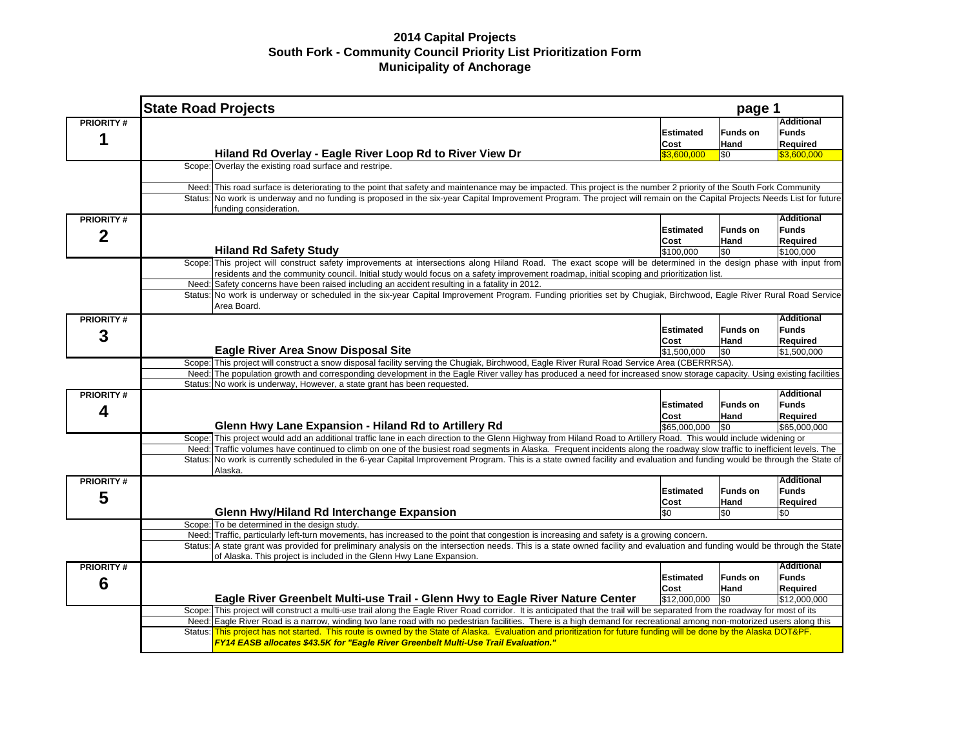|                  | <b>State Road Projects</b>                                                                                                                                                                                                                                                                                    | page 1           |                 |                   |  |  |  |
|------------------|---------------------------------------------------------------------------------------------------------------------------------------------------------------------------------------------------------------------------------------------------------------------------------------------------------------|------------------|-----------------|-------------------|--|--|--|
| <b>PRIORITY#</b> |                                                                                                                                                                                                                                                                                                               |                  |                 | <b>Additional</b> |  |  |  |
|                  |                                                                                                                                                                                                                                                                                                               | Estimated        | <b>Funds on</b> | Funds             |  |  |  |
|                  |                                                                                                                                                                                                                                                                                                               | Cost             | Hand            | Required          |  |  |  |
|                  | Hiland Rd Overlay - Eagle River Loop Rd to River View Dr                                                                                                                                                                                                                                                      | \$3,600,000      | \$0             | \$3,600,000       |  |  |  |
|                  | Scope: Overlay the existing road surface and restripe.                                                                                                                                                                                                                                                        |                  |                 |                   |  |  |  |
|                  | Need: This road surface is deteriorating to the point that safety and maintenance may be impacted. This project is the number 2 priority of the South Fork Community                                                                                                                                          |                  |                 |                   |  |  |  |
|                  | Status: No work is underway and no funding is proposed in the six-year Capital Improvement Program. The project will remain on the Capital Projects Needs List for future<br>funding consideration.                                                                                                           |                  |                 |                   |  |  |  |
| <b>PRIORITY#</b> |                                                                                                                                                                                                                                                                                                               |                  |                 | <b>Additional</b> |  |  |  |
| $\mathbf 2$      |                                                                                                                                                                                                                                                                                                               | Estimated        | <b>Funds on</b> | <b>Funds</b>      |  |  |  |
|                  |                                                                                                                                                                                                                                                                                                               | Cost             | Hand            | Required          |  |  |  |
|                  | <b>Hiland Rd Safety Study</b>                                                                                                                                                                                                                                                                                 | \$100,000        | \$0             | \$100,000         |  |  |  |
|                  | Scope: This project will construct safety improvements at intersections along Hiland Road. The exact scope will be determined in the design phase with input from<br>residents and the community council. Initial study would focus on a safety improvement roadmap, initial scoping and prioritization list. |                  |                 |                   |  |  |  |
|                  | Need: Safety concerns have been raised including an accident resulting in a fatality in 2012.                                                                                                                                                                                                                 |                  |                 |                   |  |  |  |
|                  | Status: No work is underway or scheduled in the six-year Capital Improvement Program. Funding priorities set by Chugiak, Birchwood, Eagle River Rural Road Service<br>Area Board.                                                                                                                             |                  |                 |                   |  |  |  |
| <b>PRIORITY#</b> |                                                                                                                                                                                                                                                                                                               |                  |                 | <b>Additional</b> |  |  |  |
|                  |                                                                                                                                                                                                                                                                                                               | <b>Estimated</b> | <b>Funds on</b> | Funds             |  |  |  |
| 3                |                                                                                                                                                                                                                                                                                                               | Cost             | Hand            | Required          |  |  |  |
|                  | <b>Eagle River Area Snow Disposal Site</b>                                                                                                                                                                                                                                                                    | \$1,500,000      | \$0             | \$1,500,000       |  |  |  |
|                  | Scope: This project will construct a snow disposal facility serving the Chugiak, Birchwood, Eagle River Rural Road Service Area (CBERRRSA).                                                                                                                                                                   |                  |                 |                   |  |  |  |
|                  | Need: The population growth and corresponding development in the Eagle River valley has produced a need for increased snow storage capacity. Using existing facilities                                                                                                                                        |                  |                 |                   |  |  |  |
|                  | Status: No work is underway, However, a state grant has been requested.                                                                                                                                                                                                                                       |                  |                 | <b>Additional</b> |  |  |  |
| <b>PRIORITY#</b> |                                                                                                                                                                                                                                                                                                               | <b>Estimated</b> | <b>Funds on</b> | <b>Funds</b>      |  |  |  |
| 4                |                                                                                                                                                                                                                                                                                                               | Cost             | Hand            | Required          |  |  |  |
|                  | Glenn Hwy Lane Expansion - Hiland Rd to Artillery Rd                                                                                                                                                                                                                                                          | \$65,000,000     | \$0             | \$65,000,000      |  |  |  |
|                  | Scope: This project would add an additional traffic lane in each direction to the Glenn Highway from Hiland Road to Artillery Road. This would include widening or                                                                                                                                            |                  |                 |                   |  |  |  |
|                  | Need: Traffic volumes have continued to climb on one of the busiest road segments in Alaska. Frequent incidents along the roadway slow traffic to inefficient levels. The                                                                                                                                     |                  |                 |                   |  |  |  |
|                  | Status: No work is currently scheduled in the 6-year Capital Improvement Program. This is a state owned facility and evaluation and funding would be through the State of                                                                                                                                     |                  |                 |                   |  |  |  |
|                  | Alaska.                                                                                                                                                                                                                                                                                                       |                  |                 |                   |  |  |  |
| <b>PRIORITY#</b> |                                                                                                                                                                                                                                                                                                               |                  |                 | <b>Additional</b> |  |  |  |
| 5                |                                                                                                                                                                                                                                                                                                               | <b>Estimated</b> | <b>Funds on</b> | <b>Funds</b>      |  |  |  |
|                  | Glenn Hwy/Hiland Rd Interchange Expansion                                                                                                                                                                                                                                                                     | Cost<br>\$0      | Hand<br>\$0     | Required<br>\$0   |  |  |  |
|                  | Scope: To be determined in the design study.                                                                                                                                                                                                                                                                  |                  |                 |                   |  |  |  |
|                  | Traffic, particularly left-turn movements, has increased to the point that congestion is increasing and safety is a growing concern.<br>Need:                                                                                                                                                                 |                  |                 |                   |  |  |  |
|                  | Status: A state grant was provided for preliminary analysis on the intersection needs. This is a state owned facility and evaluation and funding would be through the State                                                                                                                                   |                  |                 |                   |  |  |  |
|                  | of Alaska. This project is included in the Glenn Hwy Lane Expansion.                                                                                                                                                                                                                                          |                  |                 |                   |  |  |  |
| <b>PRIORITY#</b> |                                                                                                                                                                                                                                                                                                               |                  |                 | <b>Additional</b> |  |  |  |
|                  |                                                                                                                                                                                                                                                                                                               | <b>Estimated</b> | <b>Funds on</b> | <b>Funds</b>      |  |  |  |
| 6                |                                                                                                                                                                                                                                                                                                               | Cost             | Hand            | Required          |  |  |  |
|                  | Eagle River Greenbelt Multi-use Trail - Glenn Hwy to Eagle River Nature Center                                                                                                                                                                                                                                | \$12,000,000     | \$0             | \$12,000,000      |  |  |  |
|                  | Scope: This project will construct a multi-use trail along the Eagle River Road corridor. It is anticipated that the trail will be separated from the roadway for most of its                                                                                                                                 |                  |                 |                   |  |  |  |
|                  | Need: Eagle River Road is a narrow, winding two lane road with no pedestrian facilities. There is a high demand for recreational among non-motorized users along this                                                                                                                                         |                  |                 |                   |  |  |  |
|                  | Status: This project has not started. This route is owned by the State of Alaska. Evaluation and prioritization for future funding will be done by the Alaska DOT&PF.                                                                                                                                         |                  |                 |                   |  |  |  |
|                  | FY14 EASB allocates \$43.5K for "Eagle River Greenbelt Multi-Use Trail Evaluation."                                                                                                                                                                                                                           |                  |                 |                   |  |  |  |